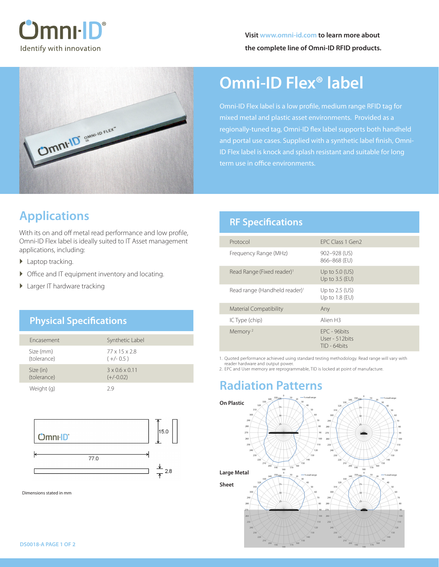$\mathbf C$ mnı $\cdot$ l $\mathbf D^*$ Identify with innovation



# **Omni-ID Flex® label**

Omni-ID Flex label is a low profile, medium range RFID tag for mixed metal and plastic asset environments. Provided as a regionally-tuned tag, Omni-ID flex label supports both handheld and portal use cases. Supplied with a synthetic label finish, Omni-ID Flex label is knock and splash resistant and suitable for long term use in office environments.

## **Applications**

With its on and off metal read performance and low profile, Omni-ID Flex label is ideally suited to IT Asset management applications, including:

- ▶ Laptop tracking.
- � Office and IT equipment inventory and locating.
- ▶ Larger IT hardware tracking

### **Physical Specifications**

| Encasement               | Synthetic Label                           |
|--------------------------|-------------------------------------------|
| Size (mm)<br>(tolerance) | $77 \times 15 \times 2.8$<br>$(+/- 0.5)$  |
| Size (in)<br>(tolerance) | $3 \times 0.6 \times 0.11$<br>$(+/-0.02)$ |
| Weight (g)               | 29                                        |



Dimensions stated in mm

### **RF Specifications**

| Protocol                                  | FPC Class 1 Gen2                                  |
|-------------------------------------------|---------------------------------------------------|
| Frequency Range (MHz)                     | 902-928 (US)<br>866-868 (EU)                      |
| Read Range (Fixed reader) <sup>1</sup>    | Up to $5.0$ (US)<br>Up to $3.5$ (EU)              |
| Read range (Handheld reader) <sup>1</sup> | Up to $2.5$ (US)<br>Up to 1.8 (EU)                |
| Material Compatibility                    | Any                                               |
| IC Type (chip)                            | Alien H3                                          |
| Memory <sup>2</sup>                       | FPC - 96bits<br>User - 512 bits<br>$TID - 64bits$ |

1. Quoted performance achieved using standard testing methodology. Read range will vary with reader hardware and output power.

2. EPC and User memory are reprogrammable, TID is locked at point of manufacture.

## **Radiation Patterns**